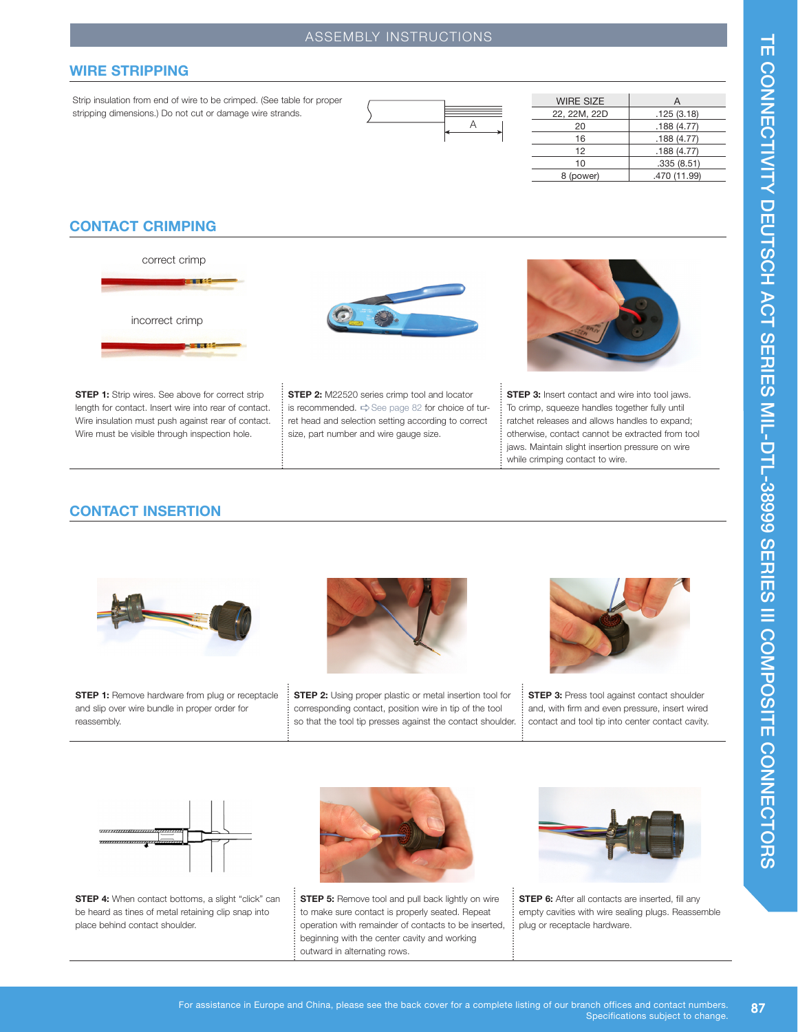# ASSEMBLY INSTRUCTIONS

#### **WIRE STRIPPING**

Strip insulation from end of wire to be crimped. (See table for proper stripping dimensions.) Do not cut or damage wire strands.



| <b>WIRE SIZE</b> | А            |
|------------------|--------------|
| 22, 22M, 22D     | .125(3.18)   |
| 20               | .188(4.77)   |
| 16               | .188(4.77)   |
| 12               | .188(4.77)   |
| 10               | .335(8.51)   |
| 8 (power)        | .470 (11.99) |

### **CONTACT CRIMPING**



**STEP 1:** Strip wires. See above for correct strip length for contact. Insert wire into rear of contact. Wire insulation must push against rear of contact. Wire must be visible through inspection hole.

**STEP 2:** M22520 series crimp tool and locator is recommended.  $\Rightarrow$  See page 82 for choice of turret head and selection setting according to correct size, part number and wire gauge size.



**STEP 3:** Insert contact and wire into tool jaws. To crimp, squeeze handles together fully until ratchet releases and allows handles to expand; otherwise, contact cannot be extracted from tool jaws. Maintain slight insertion pressure on wire while crimping contact to wire.

### **CONTACT INSERTION**



**STEP 1:** Remove hardware from plug or receptacle and slip over wire bundle in proper order for reassembly.



**STEP 2:** Using proper plastic or metal insertion tool for corresponding contact, position wire in tip of the tool so that the tool tip presses against the contact shoulder.



**STEP 3:** Press tool against contact shoulder and, with firm and even pressure, insert wired contact and tool tip into center contact cavity.



**STEP 4:** When contact bottoms, a slight "click" can be heard as tines of metal retaining clip snap into place behind contact shoulder.



**STEP 5:** Remove tool and pull back lightly on wire to make sure contact is properly seated. Repeat operation with remainder of contacts to be inserted, beginning with the center cavity and working outward in alternating rows.



**STEP 6:** After all contacts are inserted, fill any empty cavities with wire sealing plugs. Reassemble plug or receptacle hardware.